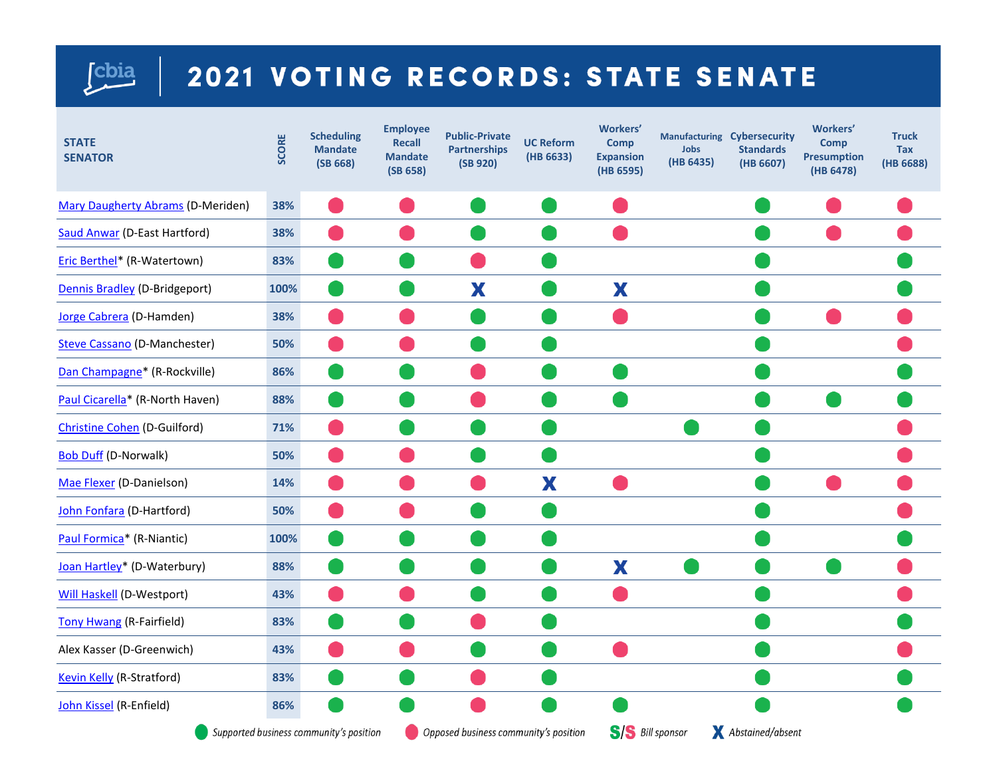## [cbia

## 2021 VOTING RECORDS: STATE SENATE

| <b>STATE</b><br><b>SENATOR</b>      | SCORE | <b>Scheduling</b><br><b>Mandate</b><br>(SB 668) | <b>Employee</b><br><b>Recall</b><br><b>Mandate</b><br>(SB 658) | <b>Public-Private</b><br><b>Partnerships</b><br>(SB 920) | <b>UC Reform</b><br>(HB 6633) | <b>Workers'</b><br><b>Comp</b><br><b>Expansion</b><br>(HB 6595) | Jobs<br>(HB 6435) | Manufacturing Cybersecurity<br><b>Standards</b><br>(HB 6607) | <b>Workers'</b><br><b>Comp</b><br><b>Presumption</b><br>(HB 6478) | <b>Truck</b><br><b>Tax</b><br>(HB 6688) |
|-------------------------------------|-------|-------------------------------------------------|----------------------------------------------------------------|----------------------------------------------------------|-------------------------------|-----------------------------------------------------------------|-------------------|--------------------------------------------------------------|-------------------------------------------------------------------|-----------------------------------------|
| Mary Daugherty Abrams (D-Meriden)   | 38%   |                                                 |                                                                |                                                          |                               |                                                                 |                   |                                                              |                                                                   |                                         |
| <b>Saud Anwar (D-East Hartford)</b> | 38%   |                                                 |                                                                |                                                          |                               |                                                                 |                   |                                                              |                                                                   |                                         |
| Eric Berthel* (R-Watertown)         | 83%   |                                                 |                                                                |                                                          |                               |                                                                 |                   |                                                              |                                                                   |                                         |
| Dennis Bradley (D-Bridgeport)       | 100%  |                                                 |                                                                | X                                                        |                               | X                                                               |                   |                                                              |                                                                   |                                         |
| Jorge Cabrera (D-Hamden)            | 38%   |                                                 |                                                                |                                                          |                               |                                                                 |                   |                                                              |                                                                   |                                         |
| <b>Steve Cassano (D-Manchester)</b> | 50%   |                                                 |                                                                |                                                          |                               |                                                                 |                   |                                                              |                                                                   |                                         |
| Dan Champagne* (R-Rockville)        | 86%   |                                                 |                                                                |                                                          |                               |                                                                 |                   |                                                              |                                                                   |                                         |
| Paul Cicarella* (R-North Haven)     | 88%   |                                                 |                                                                |                                                          |                               |                                                                 |                   |                                                              |                                                                   |                                         |
| <b>Christine Cohen (D-Guilford)</b> | 71%   |                                                 |                                                                |                                                          |                               |                                                                 |                   |                                                              |                                                                   |                                         |
| <b>Bob Duff (D-Norwalk)</b>         | 50%   |                                                 |                                                                |                                                          |                               |                                                                 |                   |                                                              |                                                                   |                                         |
| Mae Flexer (D-Danielson)            | 14%   |                                                 |                                                                |                                                          | X                             |                                                                 |                   |                                                              |                                                                   |                                         |
| John Fonfara (D-Hartford)           | 50%   |                                                 |                                                                |                                                          |                               |                                                                 |                   |                                                              |                                                                   |                                         |
| Paul Formica* (R-Niantic)           | 100%  |                                                 |                                                                |                                                          |                               |                                                                 |                   |                                                              |                                                                   |                                         |
| Joan Hartley* (D-Waterbury)         | 88%   |                                                 |                                                                |                                                          |                               | X                                                               |                   |                                                              |                                                                   |                                         |
| <b>Will Haskell (D-Westport)</b>    | 43%   |                                                 |                                                                |                                                          |                               |                                                                 |                   |                                                              |                                                                   |                                         |
| <b>Tony Hwang (R-Fairfield)</b>     | 83%   |                                                 |                                                                |                                                          |                               |                                                                 |                   |                                                              |                                                                   |                                         |
| Alex Kasser (D-Greenwich)           | 43%   |                                                 |                                                                |                                                          |                               |                                                                 |                   |                                                              |                                                                   |                                         |
| <b>Kevin Kelly (R-Stratford)</b>    | 83%   |                                                 |                                                                |                                                          |                               |                                                                 |                   |                                                              |                                                                   |                                         |
| John Kissel (R-Enfield)             | 86%   |                                                 |                                                                |                                                          |                               |                                                                 |                   |                                                              |                                                                   |                                         |
|                                     |       | Supported business community's position         |                                                                | Opposed business community's position                    |                               | <b>S/S</b> Bill sponsor                                         |                   | Abstained/absent                                             |                                                                   |                                         |